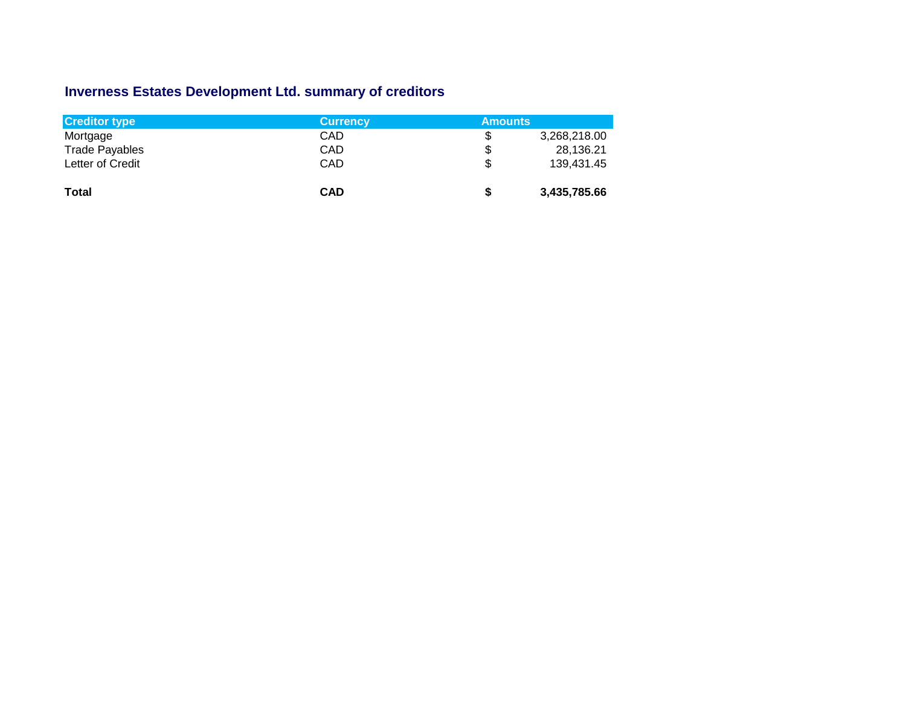## **Inverness Estates Development Ltd. summary of creditors**

| <b>Creditor type</b>  | <b>Currency</b> | <b>Amounts</b> |              |
|-----------------------|-----------------|----------------|--------------|
| Mortgage              | CAD             | \$             | 3,268,218.00 |
| <b>Trade Payables</b> | CAD             | \$             | 28,136.21    |
| Letter of Credit      | CAD             | \$             | 139,431.45   |
| <b>Total</b>          | <b>CAD</b>      | \$             | 3,435,785.66 |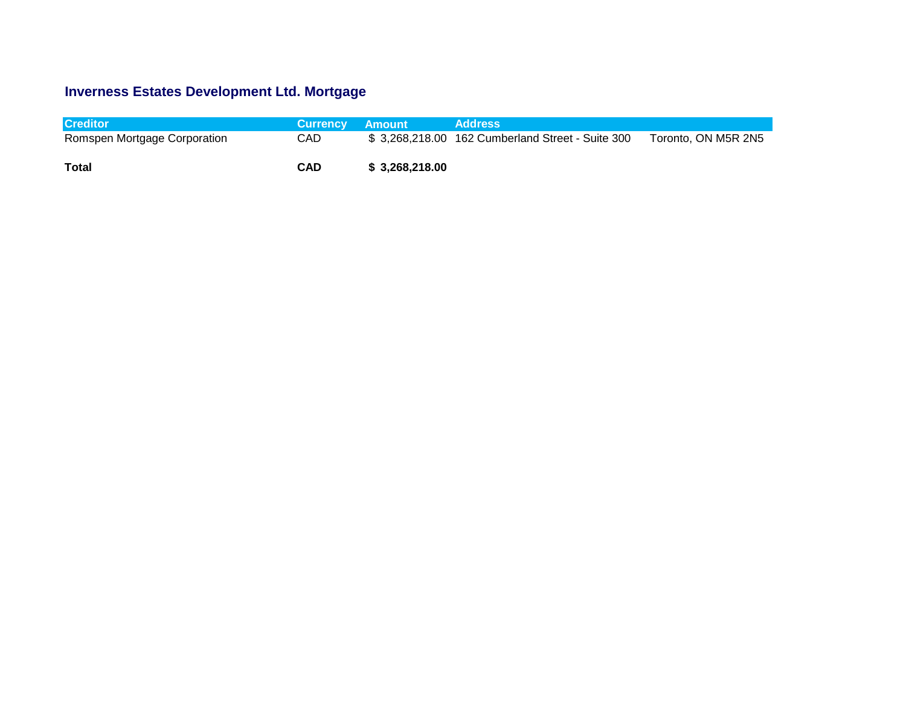## **Inverness Estates Development Ltd. Mortgage**

| <b>Creditor</b>              | <b>Currency Amount</b> |                 | <b>Address</b>                                   |                     |
|------------------------------|------------------------|-----------------|--------------------------------------------------|---------------------|
| Romspen Mortgage Corporation | CAD                    |                 | \$3,268,218.00 162 Cumberland Street - Suite 300 | Toronto, ON M5R 2N5 |
| Total                        | <b>CAD</b>             | \$ 3.268.218.00 |                                                  |                     |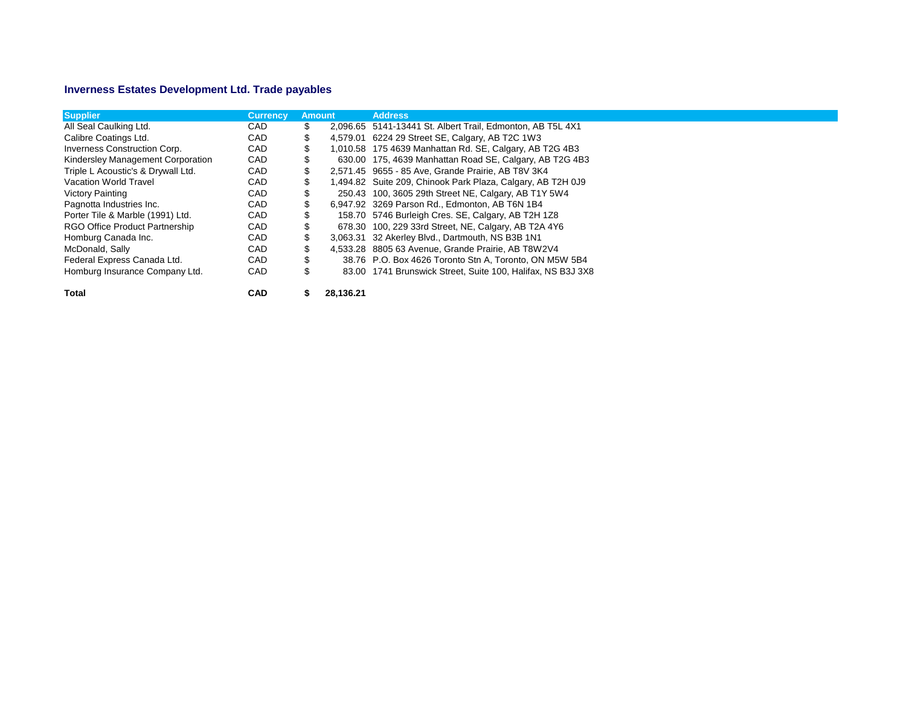## **Inverness Estates Development Ltd. Trade payables**

| <b>Supplier</b>                    | <b>Currency</b> | <b>Amount</b> |           | <b>Address</b>                                              |
|------------------------------------|-----------------|---------------|-----------|-------------------------------------------------------------|
| All Seal Caulking Ltd.             | <b>CAD</b>      | \$            |           | 2,096.65 5141-13441 St. Albert Trail, Edmonton, AB T5L 4X1  |
| Calibre Coatings Ltd.              | CAD             | \$            |           | 4,579.01 6224 29 Street SE, Calgary, AB T2C 1W3             |
| Inverness Construction Corp.       | CAD             |               |           | 1,010.58 175 4639 Manhattan Rd. SE, Calgary, AB T2G 4B3     |
| Kindersley Management Corporation  | CAD             |               |           | 630.00 175, 4639 Manhattan Road SE, Calgary, AB T2G 4B3     |
| Triple L Acoustic's & Drywall Ltd. | CAD             | \$            |           | 2,571.45 9655 - 85 Ave, Grande Prairie, AB T8V 3K4          |
| Vacation World Travel              | CAD             | \$            |           | 1,494.82 Suite 209, Chinook Park Plaza, Calgary, AB T2H 0J9 |
| Victory Painting                   | CAD             |               |           | 250.43 100, 3605 29th Street NE, Calgary, AB T1Y 5W4        |
| Pagnotta Industries Inc.           | CAD             |               |           | 6,947.92 3269 Parson Rd., Edmonton, AB T6N 1B4              |
| Porter Tile & Marble (1991) Ltd.   | CAD             |               |           | 158.70 5746 Burleigh Cres. SE, Calgary, AB T2H 1Z8          |
| RGO Office Product Partnership     | CAD             |               |           | 678.30 100, 229 33rd Street, NE, Calgary, AB T2A 4Y6        |
| Homburg Canada Inc.                | CAD             |               |           | 3,063.31 32 Akerley Blvd., Dartmouth, NS B3B 1N1            |
| McDonald, Sally                    | CAD             | \$            |           | 4,533.28 8805 63 Avenue, Grande Prairie, AB T8W2V4          |
| Federal Express Canada Ltd.        | CAD             | \$            |           | 38.76 P.O. Box 4626 Toronto Stn A, Toronto, ON M5W 5B4      |
| Homburg Insurance Company Ltd.     | CAD             | \$            |           | 83.00 1741 Brunswick Street, Suite 100, Halifax, NS B3J 3X8 |
| <b>Total</b>                       | <b>CAD</b>      | \$            | 28,136.21 |                                                             |